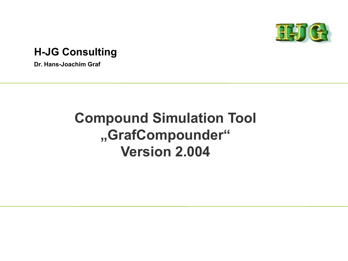

### **H-JG Consulting**

**Dr. Hans-Joachim Graf**

# **Compound Simulation Tool "GrafCompounder" Version 2.004**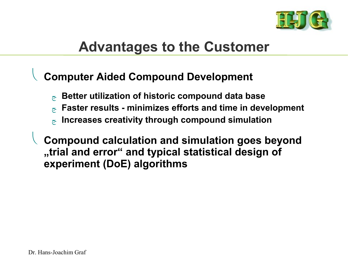

### **Advantages to the Customer**

### **Computer Aided Compound Development**

- **Better utilization of historic compound data base**
- **Faster results minimizes efforts and time in development**
- **Increases creativity through compound simulation**

 **Compound calculation and simulation goes beyond "trial and error" and typical statistical design of experiment (DoE) algorithms**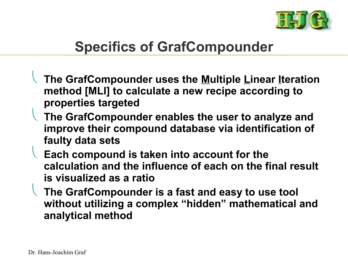

# **Specifics of GrafCompounder**

- The GrafCompounder uses the **Multiple Linear Iteration method [MLI] to calculate a new recipe according to properties targeted**
- **The GrafCompounder enables the user to analyze and improve their compound database via identification of faulty data sets**
- **Each compound is taken into account for the calculation and the influence of each on the final result is visualized as a ratio**
- **The GrafCompounder is a fast and easy to use tool without utilizing a complex "hidden" mathematical and analytical method**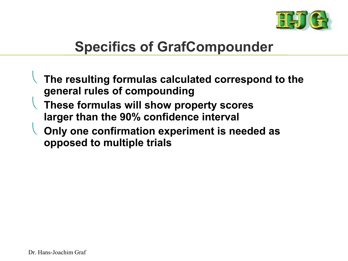

# **Specifics of GrafCompounder**

- **The resulting formulas calculated correspond to the general rules of compounding**
- **These formulas will show property scores larger than the 90% confidence interval**
- **Only one confirmation experiment is needed as opposed to multiple trials**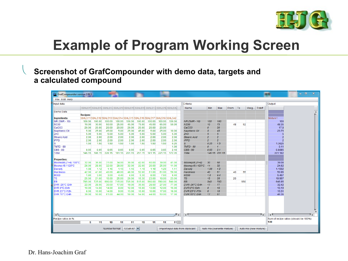

# **Example of Program Working Screen**

#### **Screenshot of GrafCompounder with demo data, targets and a calculated compound**

| <b>ALL</b> GrafCompounder version 2.003 |                 |                                                                         |        |                |                   |        |        |        |            |                                  |                              |                |      |     |                        | -      | - 0                                                | $\mathbf{x}$ |       |                         |
|-----------------------------------------|-----------------|-------------------------------------------------------------------------|--------|----------------|-------------------|--------|--------|--------|------------|----------------------------------|------------------------------|----------------|------|-----|------------------------|--------|----------------------------------------------------|--------------|-------|-------------------------|
| File Edit Help                          |                 |                                                                         |        |                |                   |        |        |        |            |                                  |                              |                |      |     |                        |        |                                                    |              |       |                         |
| Input data:                             |                 |                                                                         |        |                |                   |        |        |        |            | Criteria:                        |                              |                |      |     |                        |        | Output:                                            |              |       |                         |
|                                         |                 | 50AL511 50AL512 50AL513 50AL514 50AL515 50AL516 50AL517 50AL518 50AL542 |        |                |                   |        |        |        |            | Name                             | Min                          | Max            | From | To  | Weig                   | Trdoff |                                                    |              |       |                         |
| Demo Data                               |                 |                                                                         |        |                |                   |        |        |        |            |                                  |                              |                |      |     |                        |        |                                                    |              |       | $\blacktriangle$        |
|                                         | <b>Recipes:</b> |                                                                         |        |                |                   |        |        |        |            |                                  |                              |                |      |     |                        |        |                                                    |              |       |                         |
| Ingredients:                            |                 | 50AL511 50AL512 50AL513 50AL514 50AL515 50AL516 50AL517 50AL518 50AL542 |        |                |                   |        |        |        |            |                                  |                              |                |      |     |                        |        | Mixture 1                                          |              |       |                         |
| <b>NR (SMR - 10)</b>                    | 100.00          | 100.00                                                                  | 100.00 | 100.00         | 100.00            | 100.00 | 100.00 | 100.00 | 100.00     | <b>NR (SMR - 10)</b>             | 100                          | 100            |      |     |                        |        | 100                                                |              |       |                         |
| N330                                    | 10.00           | 30.00                                                                   | 50.00  | 25.00          | 45.00             | 75.00  | 45.00  | 65.00  | 50.00      | <b>N330</b>                      | 10                           | 75             | 48   |     | 52                     |        | 48.35                                              |              |       |                         |
| CaCO <sub>3</sub>                       | 20.00           | 20.00                                                                   | 20.00  | 20.00          | 20.00             | 20.00  | 20.00  | 20.00  |            | CaCO <sub>3</sub>                | $\overline{O}$               | 20             |      |     |                        |        | 17.8                                               |              |       |                         |
| Naphtenic Oil                           | 5.00            | 25.00                                                                   | 45.00  | 5.00           | 25.00             | 45.00  | 5.00   | 25.00  | 10.00      | <b>Naphtenic Oil</b>             | 5                            | 45             |      |     |                        |        | 23.75                                              |              |       |                         |
| ZnO                                     | 5.00            | 5.00                                                                    | 5.00   | 5.00           | 5.00              | 5.00   | 5.00   | 5.00   | 5.00       | ZnO                              | 5                            | 5              |      |     |                        |        |                                                    |              |       |                         |
| Stearic Acid                            | 2.00            | 2.00                                                                    | 2.00   | 2.00           | 2.00              | 2.00   | 2.00   | 2.00   | 2.00       | <b>Stearic Acid</b>              | $\overline{2}$               | $\overline{2}$ |      |     |                        |        |                                                    |              |       |                         |
| <b>IPPD</b>                             | 2.00            | 2.00                                                                    | 2.00   | 2.00           | 2.00              | 2.00   | 2.00   | 2.00   | 2.00       | <b>IPPD</b>                      | $\overline{2}$               | $\overline{2}$ |      |     |                        |        |                                                    |              |       |                         |
|                                         | 1.50            | 1.50                                                                    | 1.50   | 1.50           | 1.50              | 1.50   | 1.50   | 1.50   | 0.25       | S.                               | 0.25                         | 1.5            |      |     |                        |        | 1.3625                                             |              |       |                         |
| TMTD - 80                               |                 |                                                                         |        |                |                   |        |        |        | 1.00       | TMTD - 80                        | o                            |                |      |     |                        |        | 0.11                                               |              |       |                         |
| <b>CBS-80</b>                           | 0.65            | 0.65                                                                    | 0.65   | 0.65           | 0.65              | 0.65   | 0.65   | 0.65   | 2.10       | <b>CBS-80</b>                    | 0.65                         | 2.1            |      |     |                        |        | 0.8095                                             |              |       |                         |
| Total                                   | 146.15          | 186.15                                                                  | 226.15 | 161.15         | 201.15            | 251.15 | 181.15 | 221.15 | 172.35     | <b>Total</b>                     |                              | 146.15 251.15  |      |     |                        |        | 201.182                                            |              |       |                         |
| <b>Properties:</b>                      |                 |                                                                         |        |                |                   |        |        |        |            |                                  |                              |                |      |     |                        |        |                                                    |              |       |                         |
| MooneyML(1+4) 100°C                     | 32.00           | 36.00                                                                   | 31.00  | 34.00          | 30.00             | 42.00  | 60.00  | 39.00  | 41.00      | MooneyML(1+4)                    | 30                           | 60             |      |     |                        |        | 39.08                                              |              |       |                         |
| Mooney t5 / 120°C                       | 28.00           | 28.00                                                                   | 32.00  | 28.00          | 32.00             | 22.00  | 20.00  | 25.00  | 11.00      | Mooney t5/120°C                  | 11                           | 32             |      |     |                        |        | 24.62                                              |              |       |                         |
| Density                                 | 1.08            | 1.12                                                                    | 1.16   | 1.13           | 1.16              | 1.19   | 1.19   | 1.20   | 1.11       | Density                          | 1.08                         | 1.2            |      |     |                        |        | 1.1562                                             |              |       |                         |
| Hardness                                | 42.00           | 41.00                                                                   | 40.00  | 48.00          | 48.00             | 52.00  | 61.00  | 61.00  | 59.00      | <b>Hardness</b>                  | 40                           | 61             | 40   |     | 55                     |        | 50.96                                              |              |       |                         |
| <b>M300</b>                             | 1.80            | 3.00                                                                    | 3.00   | 4.40           | 4.60              | 5.30   | 8.00   | 7.60   | 9.40       | M300                             | 1.8                          | 9.4            |      |     |                        |        | 5.467                                              |              |       |                         |
| гs                                      | 25.00           | 21.00                                                                   | 15.00  | 25.00          | 20.00             | 15.30  | 23.00  | 18.00  | 23.00      | <b>TS</b>                        | 15                           | 25             | 20   |     |                        |        | 19.957                                             |              |       |                         |
| EB                                      | 785.00          | 725.00                                                                  | 690.00 | 715.00         | 705.00            | 615.00 | 560.00 | 590.00 | 540.00     | EB                               | 540                          | 785            |      | 650 |                        |        | 646.95                                             |              |       |                         |
| IDVR-26°C /24h                          | 22.00           | 28.00                                                                   | 30.00  | 17.00          | 19.00             | 35.00  | 29.00  | 27.00  | 77.00      | DVR-26°C /24h                    | 17                           | 77             |      |     |                        |        | 32.42                                              |              |       |                         |
| DVR 0°C /24h                            | 10.00           | 14.00                                                                   | 14.00  | 8.00           | 12.00             | 16.00  | 13.00  | 12.00  | 16.00      | DVR 0°C /24h                     | 8                            | 16             |      |     |                        |        | 13.19                                              |              |       |                         |
| DVR 23°C /72h                           | 8.00            | 10.00                                                                   | 14.00  | 9.00           | 13.00             | 16.00  | 10.00  | 17.00  | 18.00      | DVR 23°C /72h                    | 8                            | 18             |      |     |                        |        | 13.31                                              |              |       |                         |
| IDVR 70°C /24h                          | 39.00           | 50.00                                                                   | 61.00  | 44.00          | 50.00             | 54.00  | 44.00  | 50.00  | 17.00      | DVR 70°C /24h                    | 17                           | 61             |      |     |                        |        | 46.36                                              |              |       |                         |
| $\rightarrow$<br>Recipe ratios in %:    |                 | 5<br>11                                                                 | 10     | 11             | 11                | 19     | 11     | 11     | // ⊨<br>11 | ◂                                |                              |                |      |     |                        | ╹►     | ◂<br>Sum of recipe ratios (should be 100%):<br>100 |              | 9. ⊨. | $\overline{\mathbf{v}}$ |
|                                         |                 |                                                                         |        | Number format: | 12345.67 $\times$ |        |        |        |            | Import input data from clipboard | Auto mix (overwrite mixture) |                |      |     | Auto mix (new mixture) |        |                                                    |              |       |                         |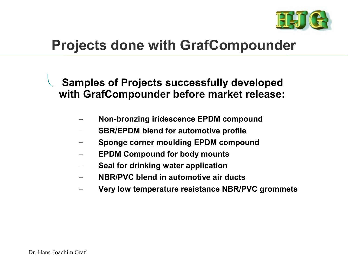

# **Projects done with GrafCompounder**

 **Samples of Projects successfully developed with GrafCompounder before market release:**

- **Non-bronzing iridescence EPDM compound**
- **SBR/EPDM blend for automotive profile**
- **Sponge corner moulding EPDM compound**
- **EPDM Compound for body mounts**
- **Seal for drinking water application**
- **NBR/PVC blend in automotive air ducts**
- **Very low temperature resistance NBR/PVC grommets**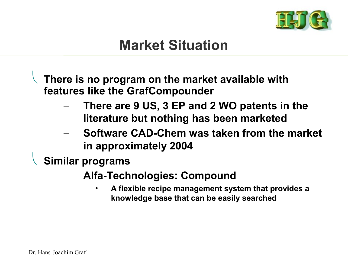

## **Market Situation**

 **There is no program on the market available with features like the GrafCompounder**

- **There are 9 US, 3 EP and 2 WO patents in the literature but nothing has been marketed**
- **Software CAD-Chem was taken from the market in approximately 2004**

**Similar programs**

- **Alfa-Technologies: Compound**
	- **A flexible recipe management system that provides a knowledge base that can be easily searched**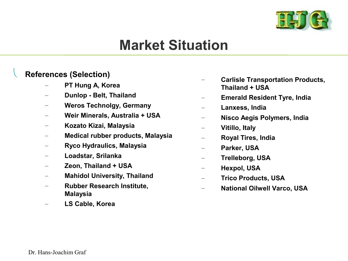

### **Market Situation**

#### **References (Selection)**

- **PT Hung A, Korea**
- **Dunlop Belt, Thailand**
- **Weros Technolgy, Germany**
- **Weir Minerals, Australia + USA**
- **Kozato Kizai, Malaysia**
- **Medical rubber products, Malaysia**
- **Ryco Hydraulics, Malaysia**
- **Loadstar, Srilanka**
- **Zeon, Thailand + USA**
- **Mahidol University, Thailand**
- **Rubber Research Institute, Malaysia**
- **LS Cable, Korea**
- **Carlisle Transportation Products, Thailand + USA**
- **Emerald Resident Tyre, India**
- **Lanxess, India**
- **Nisco Aegis Polymers, India**
- **Vitillo, Italy**
- **Royal Tires, India**
- **Parker, USA**
- **Trelleborg, USA**
- **Hexpol, USA**
- **Trico Products, USA**
- **National Oilwell Varco, USA**